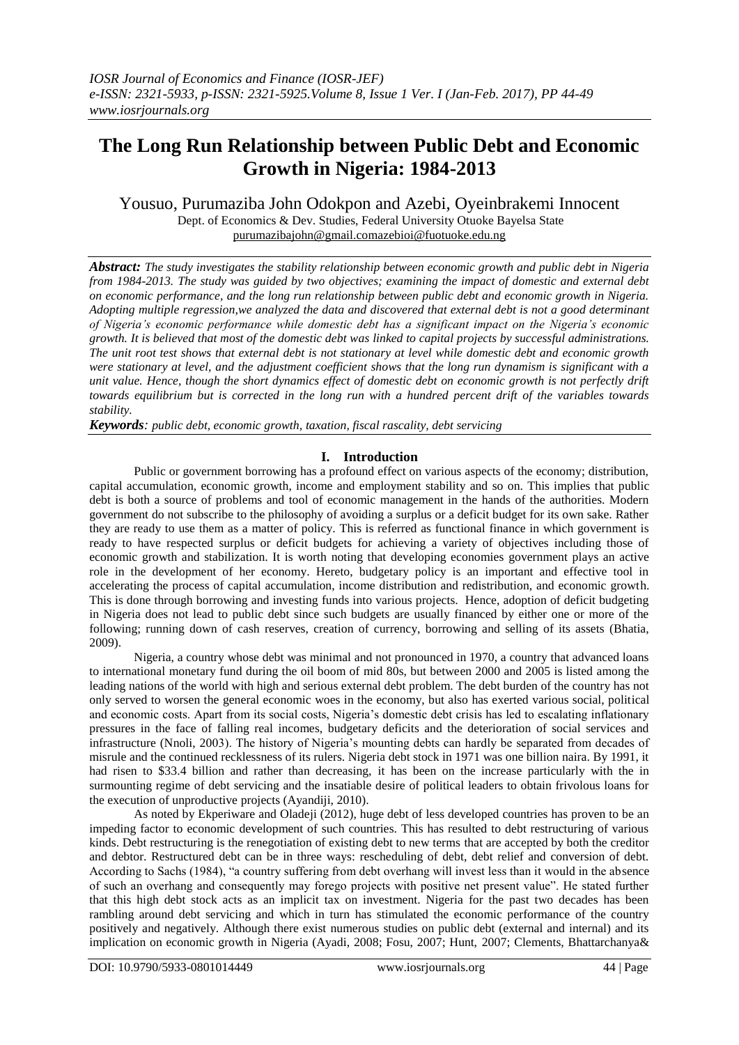# **The Long Run Relationship between Public Debt and Economic Growth in Nigeria: 1984-2013**

Yousuo, Purumaziba John Odokpon and Azebi, Oyeinbrakemi Innocent

Dept. of Economics & Dev. Studies, Federal University Otuoke Bayelsa State [purumazibajohn@gmail.comazebioi@fuotuoke.edu.ng](mailto:purumazibajohn@gmail.com)

*Abstract: The study investigates the stability relationship between economic growth and public debt in Nigeria from 1984-2013. The study was guided by two objectives; examining the impact of domestic and external debt on economic performance, and the long run relationship between public debt and economic growth in Nigeria. Adopting multiple regression,we analyzed the data and discovered that external debt is not a good determinant of Nigeria's economic performance while domestic debt has a significant impact on the Nigeria's economic growth. It is believed that most of the domestic debt was linked to capital projects by successful administrations. The unit root test shows that external debt is not stationary at level while domestic debt and economic growth were stationary at level, and the adjustment coefficient shows that the long run dynamism is significant with a unit value. Hence, though the short dynamics effect of domestic debt on economic growth is not perfectly drift towards equilibrium but is corrected in the long run with a hundred percent drift of the variables towards stability.*

*Keywords: public debt, economic growth, taxation, fiscal rascality, debt servicing*

# **I. Introduction**

Public or government borrowing has a profound effect on various aspects of the economy; distribution, capital accumulation, economic growth, income and employment stability and so on. This implies that public debt is both a source of problems and tool of economic management in the hands of the authorities. Modern government do not subscribe to the philosophy of avoiding a surplus or a deficit budget for its own sake. Rather they are ready to use them as a matter of policy. This is referred as functional finance in which government is ready to have respected surplus or deficit budgets for achieving a variety of objectives including those of economic growth and stabilization. It is worth noting that developing economies government plays an active role in the development of her economy. Hereto, budgetary policy is an important and effective tool in accelerating the process of capital accumulation, income distribution and redistribution, and economic growth. This is done through borrowing and investing funds into various projects. Hence, adoption of deficit budgeting in Nigeria does not lead to public debt since such budgets are usually financed by either one or more of the following; running down of cash reserves, creation of currency, borrowing and selling of its assets (Bhatia, 2009).

Nigeria, a country whose debt was minimal and not pronounced in 1970, a country that advanced loans to international monetary fund during the oil boom of mid 80s, but between 2000 and 2005 is listed among the leading nations of the world with high and serious external debt problem. The debt burden of the country has not only served to worsen the general economic woes in the economy, but also has exerted various social, political and economic costs. Apart from its social costs, Nigeria"s domestic debt crisis has led to escalating inflationary pressures in the face of falling real incomes, budgetary deficits and the deterioration of social services and infrastructure (Nnoli, 2003). The history of Nigeria's mounting debts can hardly be separated from decades of misrule and the continued recklessness of its rulers. Nigeria debt stock in 1971 was one billion naira. By 1991, it had risen to \$33.4 billion and rather than decreasing, it has been on the increase particularly with the in surmounting regime of debt servicing and the insatiable desire of political leaders to obtain frivolous loans for the execution of unproductive projects (Ayandiji, 2010).

As noted by Ekperiware and Oladeji (2012), huge debt of less developed countries has proven to be an impeding factor to economic development of such countries. This has resulted to debt restructuring of various kinds. Debt restructuring is the renegotiation of existing debt to new terms that are accepted by both the creditor and debtor. Restructured debt can be in three ways: rescheduling of debt, debt relief and conversion of debt. According to Sachs (1984), "a country suffering from debt overhang will invest less than it would in the absence of such an overhang and consequently may forego projects with positive net present value". He stated further that this high debt stock acts as an implicit tax on investment. Nigeria for the past two decades has been rambling around debt servicing and which in turn has stimulated the economic performance of the country positively and negatively. Although there exist numerous studies on public debt (external and internal) and its implication on economic growth in Nigeria (Ayadi, 2008; Fosu, 2007; Hunt, 2007; Clements, Bhattarchanya&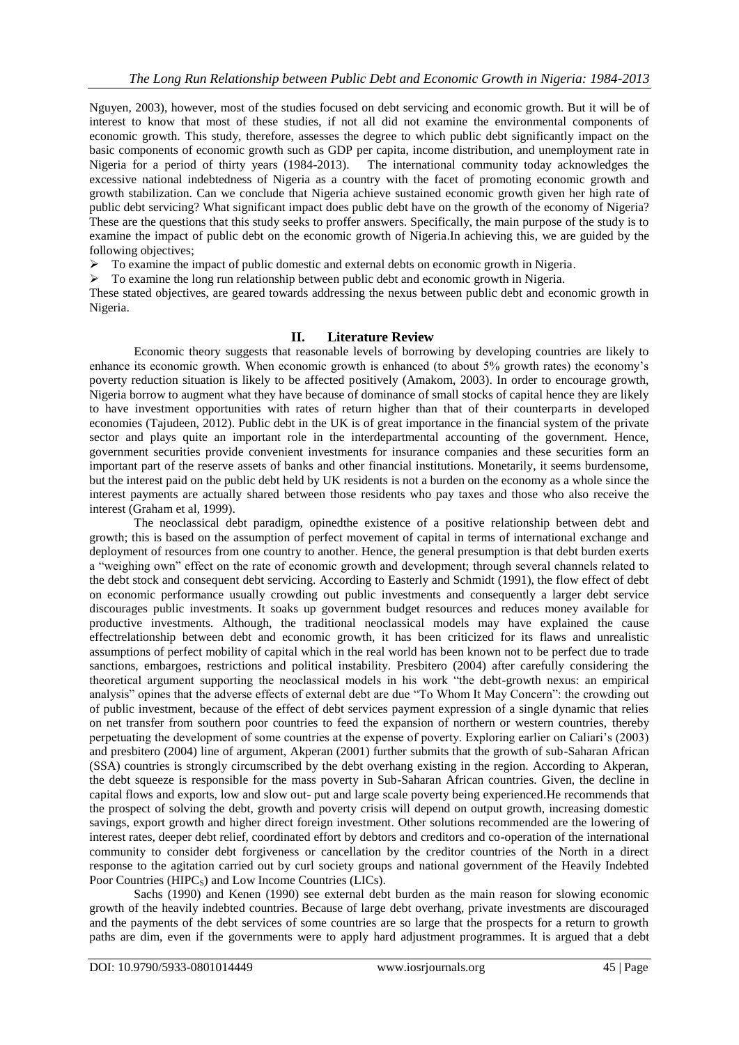Nguyen, 2003), however, most of the studies focused on debt servicing and economic growth. But it will be of interest to know that most of these studies, if not all did not examine the environmental components of economic growth. This study, therefore, assesses the degree to which public debt significantly impact on the basic components of economic growth such as GDP per capita, income distribution, and unemployment rate in Nigeria for a period of thirty years (1984-2013). The international community today acknowledges the excessive national indebtedness of Nigeria as a country with the facet of promoting economic growth and growth stabilization. Can we conclude that Nigeria achieve sustained economic growth given her high rate of public debt servicing? What significant impact does public debt have on the growth of the economy of Nigeria? These are the questions that this study seeks to proffer answers. Specifically, the main purpose of the study is to examine the impact of public debt on the economic growth of Nigeria.In achieving this, we are guided by the following objectives;

To examine the impact of public domestic and external debts on economic growth in Nigeria.

 $\triangleright$  To examine the long run relationship between public debt and economic growth in Nigeria.

These stated objectives, are geared towards addressing the nexus between public debt and economic growth in Nigeria.

## **II. Literature Review**

Economic theory suggests that reasonable levels of borrowing by developing countries are likely to enhance its economic growth. When economic growth is enhanced (to about 5% growth rates) the economy"s poverty reduction situation is likely to be affected positively (Amakom, 2003). In order to encourage growth, Nigeria borrow to augment what they have because of dominance of small stocks of capital hence they are likely to have investment opportunities with rates of return higher than that of their counterparts in developed economies (Tajudeen, 2012). Public debt in the UK is of great importance in the financial system of the private sector and plays quite an important role in the interdepartmental accounting of the government. Hence, government securities provide convenient investments for insurance companies and these securities form an important part of the reserve assets of banks and other financial institutions. Monetarily, it seems burdensome, but the interest paid on the public debt held by UK residents is not a burden on the economy as a whole since the interest payments are actually shared between those residents who pay taxes and those who also receive the interest (Graham et al, 1999).

The neoclassical debt paradigm, opinedthe existence of a positive relationship between debt and growth; this is based on the assumption of perfect movement of capital in terms of international exchange and deployment of resources from one country to another. Hence, the general presumption is that debt burden exerts a "weighing own" effect on the rate of economic growth and development; through several channels related to the debt stock and consequent debt servicing. According to Easterly and Schmidt (1991), the flow effect of debt on economic performance usually crowding out public investments and consequently a larger debt service discourages public investments. It soaks up government budget resources and reduces money available for productive investments. Although, the traditional neoclassical models may have explained the cause effectrelationship between debt and economic growth, it has been criticized for its flaws and unrealistic assumptions of perfect mobility of capital which in the real world has been known not to be perfect due to trade sanctions, embargoes, restrictions and political instability. Presbitero (2004) after carefully considering the theoretical argument supporting the neoclassical models in his work "the debt-growth nexus: an empirical analysis" opines that the adverse effects of external debt are due "To Whom It May Concern": the crowding out of public investment, because of the effect of debt services payment expression of a single dynamic that relies on net transfer from southern poor countries to feed the expansion of northern or western countries, thereby perpetuating the development of some countries at the expense of poverty. Exploring earlier on Caliari's (2003) and presbitero (2004) line of argument, Akperan (2001) further submits that the growth of sub-Saharan African (SSA) countries is strongly circumscribed by the debt overhang existing in the region. According to Akperan, the debt squeeze is responsible for the mass poverty in Sub-Saharan African countries. Given, the decline in capital flows and exports, low and slow out- put and large scale poverty being experienced.He recommends that the prospect of solving the debt, growth and poverty crisis will depend on output growth, increasing domestic savings, export growth and higher direct foreign investment. Other solutions recommended are the lowering of interest rates, deeper debt relief, coordinated effort by debtors and creditors and co-operation of the international community to consider debt forgiveness or cancellation by the creditor countries of the North in a direct response to the agitation carried out by curl society groups and national government of the Heavily Indebted Poor Countries (HIPC<sub>S</sub>) and Low Income Countries (LICs).

Sachs (1990) and Kenen (1990) see external debt burden as the main reason for slowing economic growth of the heavily indebted countries. Because of large debt overhang, private investments are discouraged and the payments of the debt services of some countries are so large that the prospects for a return to growth paths are dim, even if the governments were to apply hard adjustment programmes. It is argued that a debt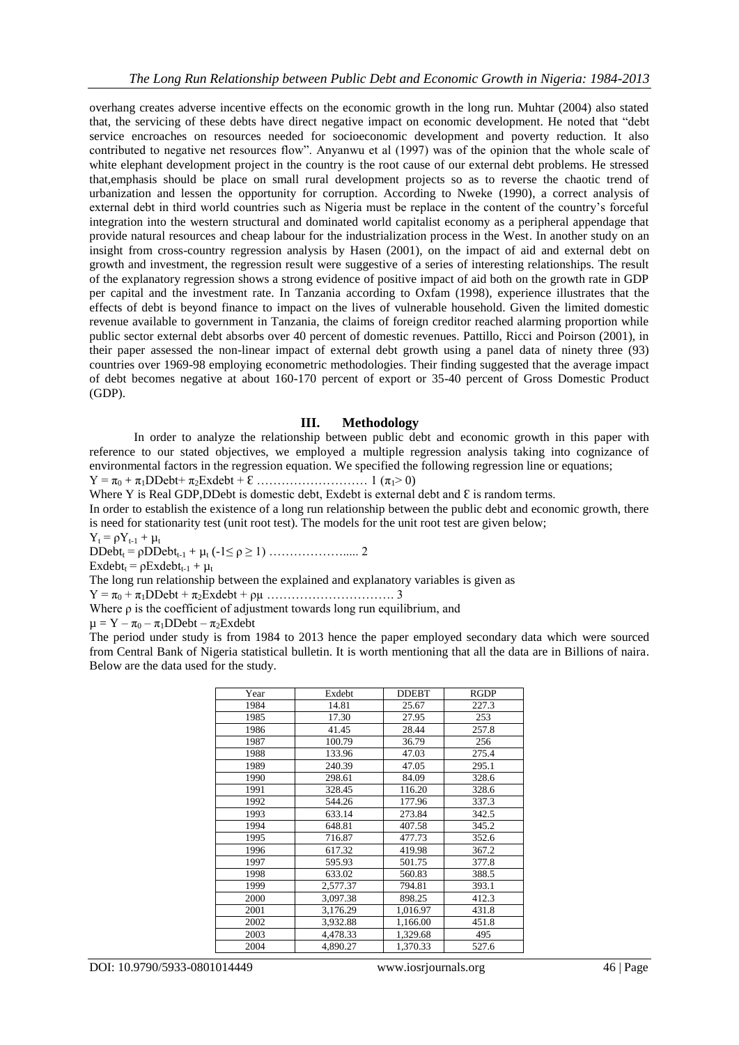overhang creates adverse incentive effects on the economic growth in the long run. Muhtar (2004) also stated that, the servicing of these debts have direct negative impact on economic development. He noted that "debt service encroaches on resources needed for socioeconomic development and poverty reduction. It also contributed to negative net resources flow". Anyanwu et al (1997) was of the opinion that the whole scale of white elephant development project in the country is the root cause of our external debt problems. He stressed that,emphasis should be place on small rural development projects so as to reverse the chaotic trend of urbanization and lessen the opportunity for corruption. According to Nweke (1990), a correct analysis of external debt in third world countries such as Nigeria must be replace in the content of the country"s forceful integration into the western structural and dominated world capitalist economy as a peripheral appendage that provide natural resources and cheap labour for the industrialization process in the West. In another study on an insight from cross-country regression analysis by Hasen (2001), on the impact of aid and external debt on growth and investment, the regression result were suggestive of a series of interesting relationships. The result of the explanatory regression shows a strong evidence of positive impact of aid both on the growth rate in GDP per capital and the investment rate. In Tanzania according to Oxfam (1998), experience illustrates that the effects of debt is beyond finance to impact on the lives of vulnerable household. Given the limited domestic revenue available to government in Tanzania, the claims of foreign creditor reached alarming proportion while public sector external debt absorbs over 40 percent of domestic revenues. Pattillo, Ricci and Poirson (2001), in their paper assessed the non-linear impact of external debt growth using a panel data of ninety three (93) countries over 1969-98 employing econometric methodologies. Their finding suggested that the average impact of debt becomes negative at about 160-170 percent of export or 35-40 percent of Gross Domestic Product (GDP).

## **III. Methodology**

In order to analyze the relationship between public debt and economic growth in this paper with reference to our stated objectives, we employed a multiple regression analysis taking into cognizance of environmental factors in the regression equation. We specified the following regression line or equations;

Y = π<sup>0</sup> + π1DDebt+ π2Exdebt + Ɛ ……………………… 1 (π1˃ 0)

Where Y is Real GDP, DDebt is domestic debt, Exdebt is external debt and  $\epsilon$  is random terms.

In order to establish the existence of a long run relationship between the public debt and economic growth, there is need for stationarity test (unit root test). The models for the unit root test are given below;

 $Y_t = \rho Y_{t-1} + \mu_t$ 

DDebt<sup>t</sup> = ρDDebtt-1 + µ<sup>t</sup> (-1≤ ρ ≥ 1) ………………..... 2

 $\text{Exdebt}_{t} = \rho \text{Exdebt}_{t-1} + \mu_{t}$ 

The long run relationship between the explained and explanatory variables is given as

Y = π<sup>0</sup> + π1DDebt + π2Exdebt + ρµ …………………………. 3

Where ρ is the coefficient of adjustment towards long run equilibrium, and

 $\mu = Y - \pi_0 - \pi_1 DDebt - \pi_2Exdebt$ 

The period under study is from 1984 to 2013 hence the paper employed secondary data which were sourced from Central Bank of Nigeria statistical bulletin. It is worth mentioning that all the data are in Billions of naira. Below are the data used for the study.

| Year | Exdebt   | <b>DDEBT</b> | <b>RGDP</b> |
|------|----------|--------------|-------------|
| 1984 | 14.81    | 25.67        | 227.3       |
| 1985 | 17.30    | 27.95        | 253         |
| 1986 | 41.45    | 28.44        | 257.8       |
| 1987 | 100.79   | 36.79        | 256         |
| 1988 | 133.96   | 47.03        | 275.4       |
| 1989 | 240.39   | 47.05        | 295.1       |
| 1990 | 298.61   | 84.09        | 328.6       |
| 1991 | 328.45   | 116.20       | 328.6       |
| 1992 | 544.26   | 177.96       | 337.3       |
| 1993 | 633.14   | 273.84       | 342.5       |
| 1994 | 648.81   | 407.58       | 345.2       |
| 1995 | 716.87   | 477.73       | 352.6       |
| 1996 | 617.32   | 419.98       | 367.2       |
| 1997 | 595.93   | 501.75       | 377.8       |
| 1998 | 633.02   | 560.83       | 388.5       |
| 1999 | 2,577.37 | 794.81       | 393.1       |
| 2000 | 3.097.38 | 898.25       | 412.3       |
| 2001 | 3,176.29 | 1,016.97     | 431.8       |
| 2002 | 3,932.88 | 1,166.00     | 451.8       |
| 2003 | 4,478.33 | 1,329.68     | 495         |
| 2004 | 4,890.27 | 1,370.33     | 527.6       |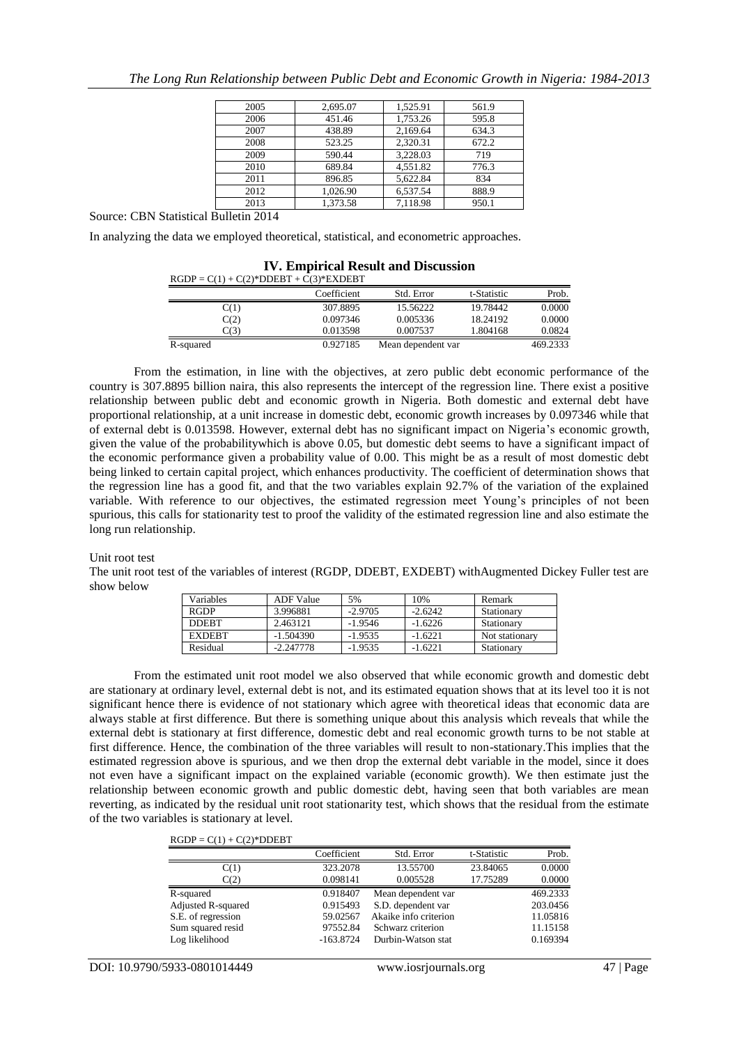| 2005 | 2,695.07 | 1,525.91 | 561.9 |
|------|----------|----------|-------|
| 2006 | 451.46   | 1,753.26 | 595.8 |
| 2007 | 438.89   | 2,169.64 | 634.3 |
| 2008 | 523.25   | 2.320.31 | 672.2 |
| 2009 | 590.44   | 3,228.03 | 719   |
| 2010 | 689.84   | 4.551.82 | 776.3 |
| 2011 | 896.85   | 5,622.84 | 834   |
| 2012 | 1,026.90 | 6,537.54 | 888.9 |
| 2013 | 1.373.58 | 7.118.98 | 950.1 |

Source: CBN Statistical Bulletin 2014

In analyzing the data we employed theoretical, statistical, and econometric approaches.

| <b>IV. Empirical Result and Discussion</b> |             |                    |             |          |  |
|--------------------------------------------|-------------|--------------------|-------------|----------|--|
| $RGDP = C(1) + C(2)*DDEBT + C(3)*EXPEBT$   |             |                    |             |          |  |
|                                            | Coefficient | Std. Error         | t-Statistic | Prob.    |  |
| C(1)                                       | 307.8895    | 15.56222           | 19.78442    | 0.0000   |  |
| C(2)                                       | 0.097346    | 0.005336           | 18.24192    | 0.0000   |  |
| C(3)                                       | 0.013598    | 0.007537           | 1.804168    | 0.0824   |  |
| R-squared                                  | 0.927185    | Mean dependent var |             | 469.2333 |  |

From the estimation, in line with the objectives, at zero public debt economic performance of the country is 307.8895 billion naira, this also represents the intercept of the regression line. There exist a positive relationship between public debt and economic growth in Nigeria. Both domestic and external debt have proportional relationship, at a unit increase in domestic debt, economic growth increases by 0.097346 while that of external debt is 0.013598. However, external debt has no significant impact on Nigeria"s economic growth, given the value of the probabilitywhich is above 0.05, but domestic debt seems to have a significant impact of the economic performance given a probability value of 0.00. This might be as a result of most domestic debt being linked to certain capital project, which enhances productivity. The coefficient of determination shows that the regression line has a good fit, and that the two variables explain 92.7% of the variation of the explained variable. With reference to our objectives, the estimated regression meet Young"s principles of not been spurious, this calls for stationarity test to proof the validity of the estimated regression line and also estimate the long run relationship.

#### Unit root test

The unit root test of the variables of interest (RGDP, DDEBT, EXDEBT) withAugmented Dickey Fuller test are show below

| Variables     | <b>ADF Value</b> | 5%        | 10%       | Remark         |
|---------------|------------------|-----------|-----------|----------------|
| <b>RGDP</b>   | 3.996881         | $-2.9705$ | $-2.6242$ | Stationary     |
| <b>DDERT</b>  | 2.463121         | $-1.9546$ | $-1.6226$ | Stationary     |
| <b>EXDERT</b> | $-1.504390$      | $-1.9535$ | $-1.6221$ | Not stationary |
| Residual      | $-2.247778$      | $-1.9535$ | $-1.6221$ | Stationary     |

From the estimated unit root model we also observed that while economic growth and domestic debt are stationary at ordinary level, external debt is not, and its estimated equation shows that at its level too it is not significant hence there is evidence of not stationary which agree with theoretical ideas that economic data are always stable at first difference. But there is something unique about this analysis which reveals that while the external debt is stationary at first difference, domestic debt and real economic growth turns to be not stable at first difference. Hence, the combination of the three variables will result to non-stationary.This implies that the estimated regression above is spurious, and we then drop the external debt variable in the model, since it does not even have a significant impact on the explained variable (economic growth). We then estimate just the relationship between economic growth and public domestic debt, having seen that both variables are mean reverting, as indicated by the residual unit root stationarity test, which shows that the residual from the estimate of the two variables is stationary at level.

 $RGDP = C(1) + C(2)*DDEBT$ 

|                    | Coefficient | Std. Error            | t-Statistic | Prob.    |
|--------------------|-------------|-----------------------|-------------|----------|
| C(1)               | 323.2078    | 13.55700              | 23.84065    | 0.0000   |
| C(2)               | 0.098141    | 0.005528              | 17.75289    | 0.0000   |
| R-squared          | 0.918407    | Mean dependent var    |             | 469.2333 |
| Adjusted R-squared | 0.915493    | S.D. dependent var    |             | 203.0456 |
| S.E. of regression | 59.02567    | Akaike info criterion |             | 11.05816 |
| Sum squared resid  | 97552.84    | Schwarz criterion     |             | 11.15158 |
| Log likelihood     | $-163.8724$ | Durbin-Watson stat    |             | 0.169394 |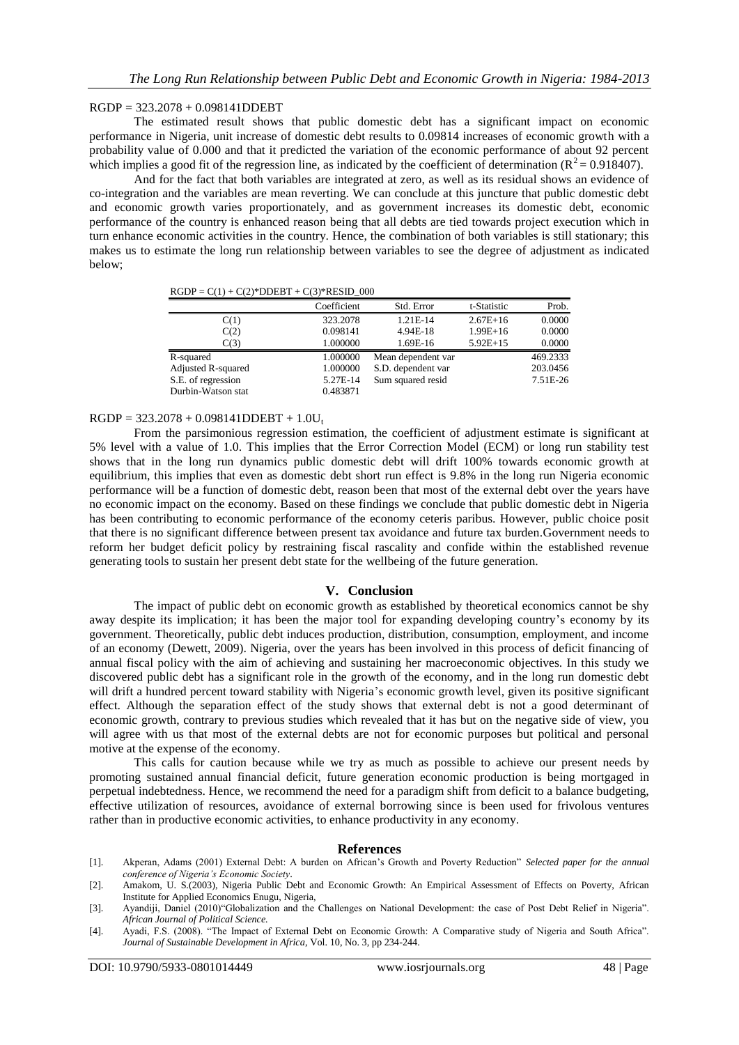## RGDP = 323.2078 + 0.098141DDEBT

The estimated result shows that public domestic debt has a significant impact on economic performance in Nigeria, unit increase of domestic debt results to 0.09814 increases of economic growth with a probability value of 0.000 and that it predicted the variation of the economic performance of about 92 percent which implies a good fit of the regression line, as indicated by the coefficient of determination ( $R^2 = 0.918407$ ).

And for the fact that both variables are integrated at zero, as well as its residual shows an evidence of co-integration and the variables are mean reverting. We can conclude at this juncture that public domestic debt and economic growth varies proportionately, and as government increases its domestic debt, economic performance of the country is enhanced reason being that all debts are tied towards project execution which in turn enhance economic activities in the country. Hence, the combination of both variables is still stationary; this makes us to estimate the long run relationship between variables to see the degree of adjustment as indicated below;

 $RGDP = C(1) + C(2)*DDEBT + C(3)*RESID_000$ 

|                    | Coefficient | Std. Error         | t-Statistic | Prob.    |
|--------------------|-------------|--------------------|-------------|----------|
| C(1)               | 323.2078    | 1.21E-14           | $2.67E+16$  | 0.0000   |
| C(2)               | 0.098141    | 4.94E-18           | $1.99E+16$  | 0.0000   |
| C(3)               | 1.000000    | 1.69E-16           | $5.92E+15$  | 0.0000   |
| R-squared          | 1.000000    | Mean dependent var |             | 469.2333 |
| Adjusted R-squared | 1.000000    | S.D. dependent var |             | 203.0456 |
| S.E. of regression | 5.27E-14    | Sum squared resid  |             | 7.51E-26 |
| Durbin-Watson stat | 0.483871    |                    |             |          |

## $RGDP = 323.2078 + 0.098141DDEBT + 1.0U_t$

From the parsimonious regression estimation, the coefficient of adjustment estimate is significant at 5% level with a value of 1.0. This implies that the Error Correction Model (ECM) or long run stability test shows that in the long run dynamics public domestic debt will drift 100% towards economic growth at equilibrium, this implies that even as domestic debt short run effect is 9.8% in the long run Nigeria economic performance will be a function of domestic debt, reason been that most of the external debt over the years have no economic impact on the economy. Based on these findings we conclude that public domestic debt in Nigeria has been contributing to economic performance of the economy ceteris paribus. However, public choice posit that there is no significant difference between present tax avoidance and future tax burden.Government needs to reform her budget deficit policy by restraining fiscal rascality and confide within the established revenue generating tools to sustain her present debt state for the wellbeing of the future generation.

## **V. Conclusion**

The impact of public debt on economic growth as established by theoretical economics cannot be shy away despite its implication; it has been the major tool for expanding developing country"s economy by its government. Theoretically, public debt induces production, distribution, consumption, employment, and income of an economy (Dewett, 2009). Nigeria, over the years has been involved in this process of deficit financing of annual fiscal policy with the aim of achieving and sustaining her macroeconomic objectives. In this study we discovered public debt has a significant role in the growth of the economy, and in the long run domestic debt will drift a hundred percent toward stability with Nigeria's economic growth level, given its positive significant effect. Although the separation effect of the study shows that external debt is not a good determinant of economic growth, contrary to previous studies which revealed that it has but on the negative side of view, you will agree with us that most of the external debts are not for economic purposes but political and personal motive at the expense of the economy.

This calls for caution because while we try as much as possible to achieve our present needs by promoting sustained annual financial deficit, future generation economic production is being mortgaged in perpetual indebtedness. Hence, we recommend the need for a paradigm shift from deficit to a balance budgeting, effective utilization of resources, avoidance of external borrowing since is been used for frivolous ventures rather than in productive economic activities, to enhance productivity in any economy.

## **References**

- [1]. Akperan, Adams (2001) External Debt: A burden on African"s Growth and Poverty Reduction" *Selected paper for the annual conference of Nigeria's Economic Society*.
- [2]. Amakom, U. S.(2003), Nigeria Public Debt and Economic Growth: An Empirical Assessment of Effects on Poverty, African Institute for Applied Economics Enugu, Nigeria,

<sup>[3].</sup> Ayandiji, Daniel (2010)"Globalization and the Challenges on National Development: the case of Post Debt Relief in Nigeria". *African Journal of Political Science.*

<sup>[4].</sup> Ayadi, F.S. (2008). "The Impact of External Debt on Economic Growth: A Comparative study of Nigeria and South Africa". *Journal of Sustainable Development in Africa*, Vol. 10, No. 3, pp 234-244.